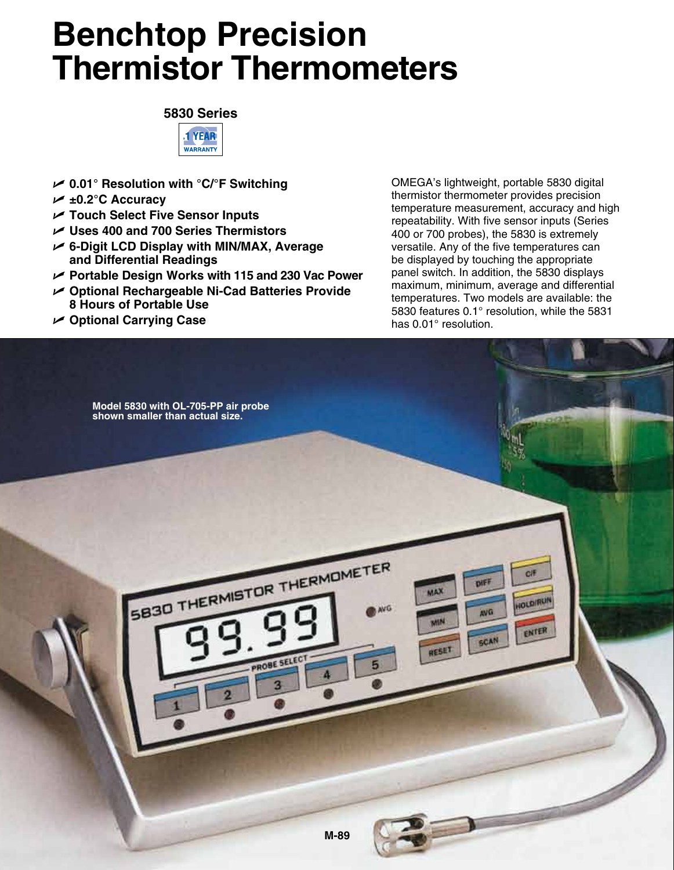## **Benchtop Precision Thermistor Thermometers**





- U **0.01° Resolution with °C/°F Switching**
- U **±0.2°C Accuracy**
- U **Touch Select Five Sensor Inputs**
- U **Uses 400 and 700 Series Thermistors**
- U **6-Digit LCD Display with MIN/MAX, Average and Differential Readings**
- U **Portable Design Works with 115 and 230 Vac Power**
- U **Optional Rechargeable Ni-Cad Batteries Provide 8 Hours of Portable Use**
- U **Optional Carrying Case**

OMEGA's lightweight, portable 5830 digital thermistor thermometer provides precision temperature measurement, accuracy and high repeatability. With five sensor inputs (Series 400 or 700 probes), the 5830 is extremely versatile. Any of the five temperatures can be displayed by touching the appropriate panel switch. In addition, the 5830 displays maximum, minimum, average and differential temperatures. Two models are available: the 5830 features 0.1° resolution, while the 5831 has 0.01° resolution.